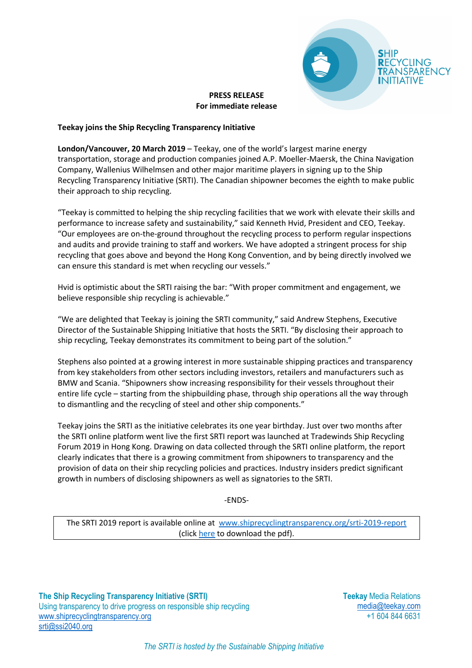

### **PRESS RELEASE For immediate release**

# **Teekay joins the Ship Recycling Transparency Initiative**

**London/Vancouver, 20 March 2019** – Teekay, one of the world's largest marine energy transportation, storage and production companies joined A.P. Moeller-Maersk, the China Navigation Company, Wallenius Wilhelmsen and other major maritime players in signing up to the Ship Recycling Transparency Initiative (SRTI). The Canadian shipowner becomes the eighth to make public their approach to ship recycling.

"Teekay is committed to helping the ship recycling facilities that we work with elevate their skills and performance to increase safety and sustainability," said Kenneth Hvid, President and CEO, Teekay. "Our employees are on-the-ground throughout the recycling process to perform regular inspections and audits and provide training to staff and workers. We have adopted a stringent process for ship recycling that goes above and beyond the Hong Kong Convention, and by being directly involved we can ensure this standard is met when recycling our vessels."

Hvid is optimistic about the SRTI raising the bar: "With proper commitment and engagement, we believe responsible ship recycling is achievable."

"We are delighted that Teekay is joining the SRTI community," said Andrew Stephens, Executive Director of the Sustainable Shipping Initiative that hosts the SRTI. "By disclosing their approach to ship recycling, Teekay demonstrates its commitment to being part of the solution."

Stephens also pointed at a growing interest in more sustainable shipping practices and transparency from key stakeholders from other sectors including investors, retailers and manufacturers such as BMW and Scania. "Shipowners show increasing responsibility for their vessels throughout their entire life cycle – starting from the shipbuilding phase, through ship operations all the way through to dismantling and the recycling of steel and other ship components."

Teekay joins the SRTI as the initiative celebrates its one year birthday. Just over two months after the SRTI online platform went live the first SRTI report was launched at Tradewinds Ship Recycling Forum 2019 in Hong Kong. Drawing on data collected through the SRTI online platform, the report clearly indicates that there is a growing commitment from shipowners to transparency and the provision of data on their ship recycling policies and practices. Industry insiders predict significant growth in numbers of disclosing shipowners as well as signatories to the SRTI.

-ENDS-

The SRTI 2019 report is available online at www.shiprecyclingtransparency.org/srti-2019-report (click here to download the pdf).

**The Ship Recycling Transparency Initiative (SRTI)** Using transparency to drive progress on responsible ship recycling www.shiprecyclingtransparency.org srti@ssi2040.org

**Teekay** Media Relations media@teekay.com +1 604 844 6631

*The SRTI is hosted by the Sustainable Shipping Initiative*